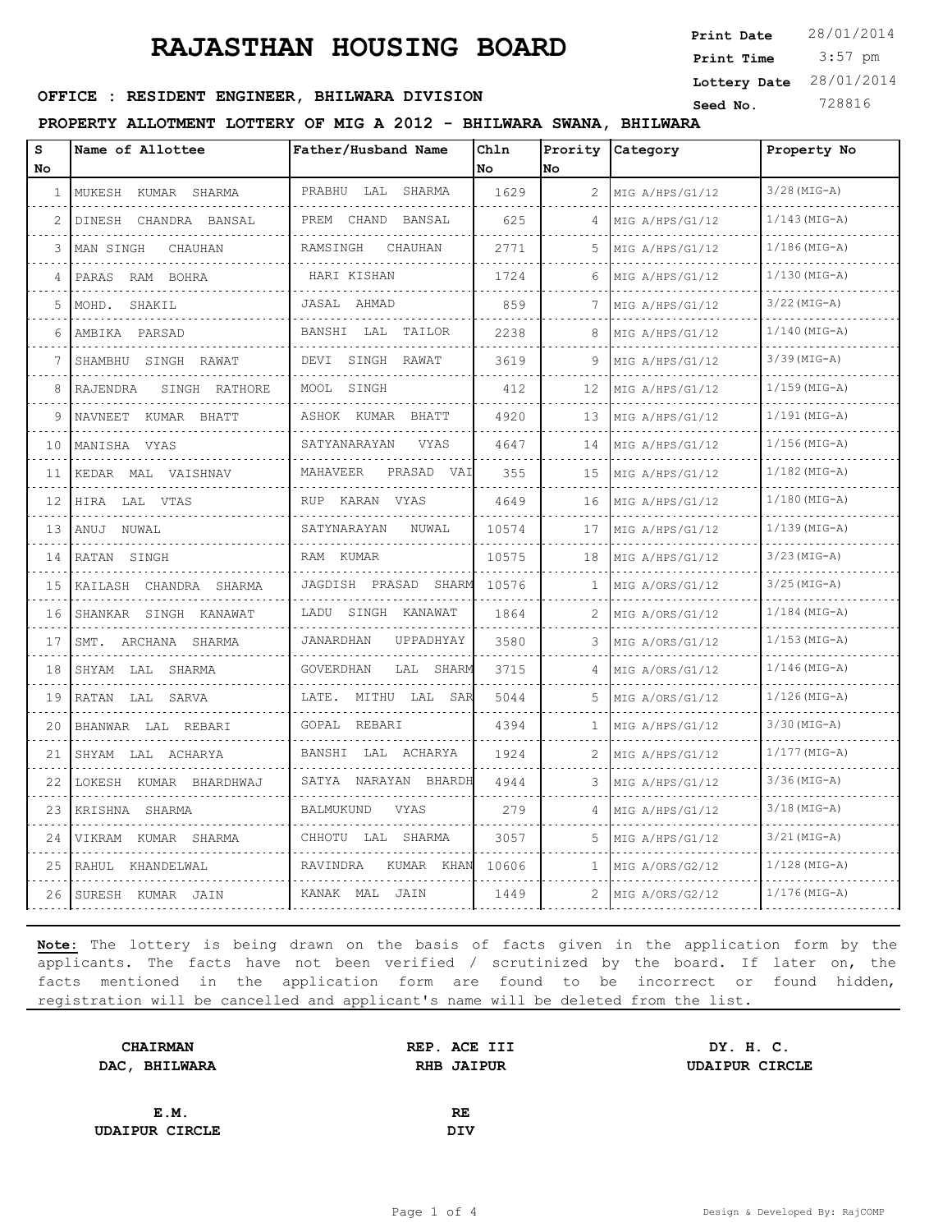# **RAJASTHAN HOUSING BOARD**

 3:57 pm **Print Date Print Time Lottery Date** 28/01/2014

### **SEED : RESIDENT ENGINEER, BHILWARA DIVISION** Seed No. 728816

#### **PROPERTY ALLOTMENT LOTTERY OF MIG A 2012 - BHILWARA SWANA, BHILWARA**

| S            | Name of Allottee          | Father/Husband Name    | Chln  |                       | Prority Category | Property No     |
|--------------|---------------------------|------------------------|-------|-----------------------|------------------|-----------------|
| No.          |                           |                        | No.   | No.                   |                  |                 |
| $\mathbf{1}$ | MUKESH KUMAR SHARMA<br>.  | PRABHU LAL SHARMA      | 1629  | $\mathbf{2}^{\prime}$ | MIG A/HPS/G1/12  | $3/28$ (MIG-A)  |
| 2            | DINESH CHANDRA BANSAL     | PREM CHAND BANSAL      | 625   | 4                     | MIG A/HPS/G1/12  | $1/143(MIG-A)$  |
| 3            | CHAUHAN<br>MAN SINGH      | RAMSINGH<br>CHAUHAN    | 2771  | 5                     | MIG A/HPS/G1/12  | $1/186$ (MIG-A) |
| 4            | PARAS RAM BOHRA           | HARI KISHAN            | 1724  | 6                     | MIG A/HPS/G1/12  | $1/130$ (MIG-A) |
| 5            | MOHD.<br>SHAKIL           | JASAL AHMAD            | 859   | 7                     | MIG A/HPS/G1/12  | $3/22$ (MIG-A)  |
| 6            | AMBIKA PARSAD             | BANSHI LAL TAILOR      | 2238  | 8                     | MIG A/HPS/G1/12  | $1/140$ (MIG-A) |
| 7            | SHAMBHU SINGH RAWAT       | DEVI SINGH RAWAT       | 3619  | 9                     | MIG A/HPS/G1/12  | $3/39$ (MIG-A)  |
| 8            | SINGH RATHORE<br>RAJENDRA | MOOL SINGH             | 412   | 12                    | MIG A/HPS/G1/12  | $1/159$ (MIG-A) |
| 9            | NAVNEET KUMAR BHATT       | ASHOK KUMAR BHATT      | 4920  | 13                    | MIG A/HPS/G1/12  | $1/191$ (MIG-A) |
| 10           | MANISHA VYAS              | VYAS<br>SATYANARAYAN   | 4647  | 14                    | MIG A/HPS/G1/12  | $1/156$ (MIG-A) |
| 11           | KEDAR MAL VAISHNAV        | MAHAVEER<br>PRASAD VAI | 355   | 15                    | MIG A/HPS/G1/12  | $1/182$ (MIG-A) |
| 12           | HIRA LAL VTAS             | RUP KARAN VYAS         | 4649  | 16                    | MIG A/HPS/G1/12  | $1/180$ (MIG-A) |
| 1.3          | ANUJ NUWAL                | SATYNARAYAN<br>NUWAL   | 10574 | 17                    | MIG A/HPS/G1/12  | $1/139$ (MIG-A) |
| 14           | RATAN SINGH               | RAM KUMAR              | 10575 | 18                    | MIG A/HPS/G1/12  | $3/23$ (MIG-A)  |
| 15           | KAILASH CHANDRA SHARMA    | JAGDISH PRASAD SHARM   | 10576 | 1                     | MIG A/ORS/G1/12  | $3/25$ (MIG-A)  |
| 16           | SHANKAR SINGH KANAWAT     | LADU SINGH KANAWAT     | 1864  | 2                     | MIG A/ORS/G1/12  | $1/184$ (MIG-A) |
| 17           | SMT. ARCHANA SHARMA       | JANARDHAN<br>UPPADHYAY | 3580  |                       | MIG A/ORS/G1/12  | $1/153$ (MIG-A) |
| 18           | SHYAM LAL SHARMA          | GOVERDHAN<br>LAL SHARM | 3715  | 4                     | MIG A/ORS/G1/12  | $1/146$ (MIG-A) |
| 19           | RATAN LAL SARVA           | LATE. MITHU LAL SAR    | 5044  | 5                     | MIG A/ORS/G1/12  | $1/126$ (MIG-A) |
| 20           | BHANWAR LAL REBARI        | GOPAL REBARI           | 4394  | 1.                    | MIG A/HPS/G1/12  | $3/30$ (MIG-A)  |
| 21           | SHYAM LAL ACHARYA         | BANSHI LAL ACHARYA     | 1924  | 2                     | MIG A/HPS/G1/12  | $1/177$ (MIG-A) |
| 22           | LOKESH KUMAR BHARDHWAJ    | SATYA NARAYAN BHARDH   | 4944  | 3                     | MIG A/HPS/G1/12  | $3/36$ (MIG-A)  |
| 23           | KRISHNA SHARMA            | BALMUKUND<br>VYAS      | 279   |                       | MIG A/HPS/G1/12  | $3/18$ (MIG-A)  |
| 24           | VIKRAM KUMAR SHARMA       | CHHOTU LAL SHARMA      | 3057  | 5                     | MIG A/HPS/G1/12  | $3/21$ (MIG-A)  |
| 25           | RAHUL KHANDELWAL          | RAVINDRA<br>KUMAR KHAN | 10606 | $\mathbf{1}$          | MIG A/ORS/G2/12  | $1/128$ (MIG-A) |
| 26           | SURESH KUMAR JAIN         | KANAK MAL JAIN         | 1449  | 2                     | MIG A/ORS/G2/12  | $1/176$ (MIG-A) |

**Note:** The lottery is being drawn on the basis of facts given in the application form by the applicants. The facts have not been verified / scrutinized by the board. If later on, the facts mentioned in the application form are found to be incorrect or found hidden, registration will be cancelled and applicant's name will be deleted from the list.

| <b>CHAIRMAN</b>       | REP. ACE III      | DY. H. C.             |  |
|-----------------------|-------------------|-----------------------|--|
| DAC, BHILWARA         | <b>RHB JAIPUR</b> | <b>UDAIPUR CIRCLE</b> |  |
|                       |                   |                       |  |
| E.M.                  | RE                |                       |  |
| <b>UDAIPUR CIRCLE</b> | DIV               |                       |  |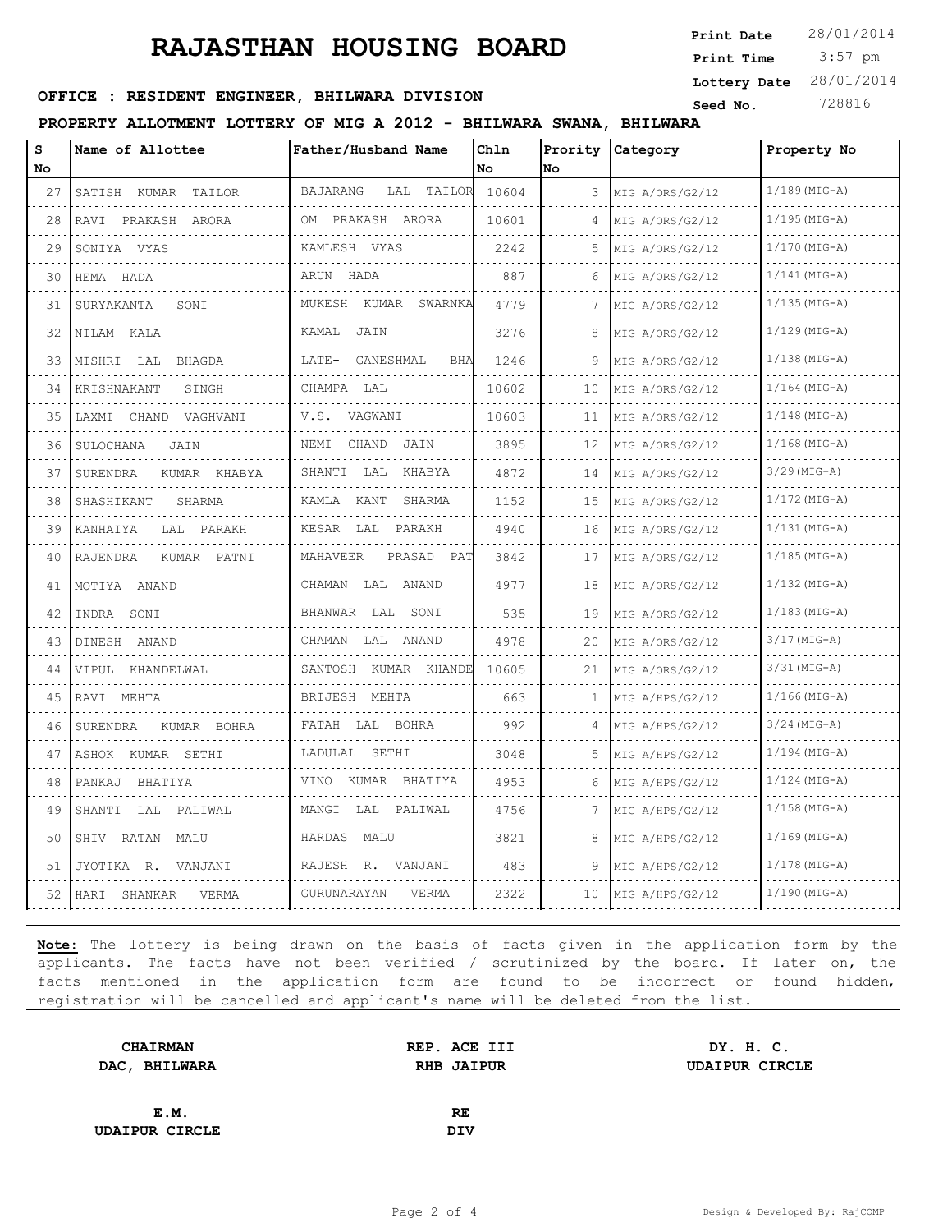# **RAJASTHAN HOUSING BOARD**

 3:57 pm **Print Date**  $28/01/2014$ **Print Time**

# **SEED : RESIDENT ENGINEER, BHILWARA DIVISION** Seed No. 728816

#### **PROPERTY ALLOTMENT LOTTERY OF MIG A 2012 - BHILWARA SWANA, BHILWARA**

| s  | Name of Allottee         | Father/Husband Name                           | Ch1n  |                 | Prority Category | Property No     |
|----|--------------------------|-----------------------------------------------|-------|-----------------|------------------|-----------------|
| No |                          |                                               | No    | No              |                  |                 |
| 27 | SATISH KUMAR TAILOR      | BAJARANG<br>LAL TAILOR 10604                  |       | 3               | MIG A/ORS/G2/12  | $1/189$ (MIG-A) |
| 28 | RAVI PRAKASH ARORA       | OM PRAKASH ARORA                              | 10601 | 4               | MIG A/ORS/G2/12  | $1/195$ (MIG-A) |
| 29 | SONIYA VYAS              | KAMLESH VYAS                                  | 2242  | 5               | MIG A/ORS/G2/12  | $1/170$ (MIG-A) |
| 30 | HEMA HADA                | ARUN HADA                                     | 887   |                 | MIG A/ORS/G2/12  | $1/141$ (MIG-A) |
| 31 | SURYAKANTA<br>SONI       | MUKESH KUMAR SWARNKA                          | 4779  | 7               | MIG A/ORS/G2/12  | $1/135$ (MIG-A) |
| 32 | NILAM KALA               | KAMAL JAIN                                    | 3276  | 8               | MIG A/ORS/G2/12  | $1/129$ (MIG-A) |
| 33 | MISHRI LAL BHAGDA        | LATE- GANESHMAL<br><b>BHA</b>                 | 1246  | 9               | MIG A/ORS/G2/12  | $1/138$ (MIG-A) |
| 34 | KRISHNAKANT<br>SINGH     | CHAMPA LAL                                    | 10602 | 10              | MIG A/ORS/G2/12  | $1/164$ (MIG-A) |
| 35 | LAXMI CHAND VAGHVANI     | V.S. VAGWANI                                  | 10603 | 11              | MIG A/ORS/G2/12  | $1/148$ (MIG-A) |
| 36 | SULOCHANA<br>JAIN        | NEMI CHAND JAIN                               | 3895  | 12.<br>$-1 - 1$ | MIG A/ORS/G2/12  | $1/168$ (MIG-A) |
| 37 | KUMAR KHABYA<br>SURENDRA | SHANTI LAL KHABYA                             | 4872  | 14              | MIG A/ORS/G2/12  | $3/29$ (MIG-A)  |
| 38 | SHASHIKANT<br>SHARMA     | KAMLA KANT SHARMA                             | 1152  | 15              | MIG A/ORS/G2/12  | $1/172$ (MIG-A) |
| 39 | KANHAIYA<br>LAL PARAKH   | KESAR LAL PARAKH                              | 4940  | 16              | MIG A/ORS/G2/12  | $1/131$ (MIG-A) |
| 40 | RAJENDRA<br>KUMAR PATNI  | MAHAVEER<br>PRASAD PAT<br>dia dia dia dia dia | 3842  | 17              | MIG A/ORS/G2/12  | $1/185$ (MIG-A) |
| 41 | MOTIYA ANAND             | CHAMAN LAL ANAND                              | 4977  | 18              | MIG A/ORS/G2/12  | $1/132$ (MIG-A) |
| 42 | INDRA SONI               | BHANWAR LAL SONI<br>.                         | 535   | 19              | MIG A/ORS/G2/12  | $1/183$ (MIG-A) |
| 43 | DINESH ANAND             | CHAMAN LAL ANAND                              | 4978  | 20              | MIG A/ORS/G2/12  | $3/17$ (MIG-A)  |
| 44 | VIPUL KHANDELWAL         | SANTOSH KUMAR KHANDE                          | 10605 | 21              | MIG A/ORS/G2/12  | $3/31$ (MIG-A)  |
| 45 | RAVI MEHTA               | BRIJESH MEHTA                                 | 663   | 1.              | MIG A/HPS/G2/12  | $1/166$ (MIG-A) |
| 46 | SURENDRA KUMAR BOHRA     | FATAH LAL BOHRA                               | 992   | 4               | MIG A/HPS/G2/12  | $3/24$ (MIG-A)  |
| 47 | ASHOK KUMAR SETHI        | LADULAL SETHI                                 | 3048  | 5.              | MIG A/HPS/G2/12  | $1/194$ (MIG-A) |
| 48 | PANKAJ BHATIYA           | VINO KUMAR BHATIYA                            | 4953  | 6               | MIG A/HPS/G2/12  | $1/124$ (MIG-A) |
| 49 | SHANTI LAL PALIWAL       | MANGI LAL PALIWAL                             | 4756  |                 | MIG A/HPS/G2/12  | $1/158$ (MIG-A) |
| 50 | SHIV RATAN MALU          | HARDAS MALU                                   | 3821  | 8               | MIG A/HPS/G2/12  | $1/169$ (MIG-A) |
| 51 | JYOTIKA R. VANJANI       | RAJESH R. VANJANI                             | 483   | 9               | MIG A/HPS/G2/12  | $1/178$ (MIG-A) |
| 52 | HARI SHANKAR<br>VERMA    | GURUNARAYAN<br>VERMA                          | 2322  | 10              | MIG A/HPS/G2/12  | $1/190$ (MIG-A) |

**Note:** The lottery is being drawn on the basis of facts given in the application form by the applicants. The facts have not been verified / scrutinized by the board. If later on, the facts mentioned in the application form are found to be incorrect or found hidden, registration will be cancelled and applicant's name will be deleted from the list.

| <b>CHAIRMAN</b>       | REP. ACE III      | DY. H. C.             |  |
|-----------------------|-------------------|-----------------------|--|
| DAC, BHILWARA         | <b>RHB JAIPUR</b> | <b>UDAIPUR CIRCLE</b> |  |
|                       |                   |                       |  |
| E.M.                  | RE                |                       |  |
| <b>UDAIPUR CIRCLE</b> | DIV               |                       |  |

**Lottery Date** 28/01/2014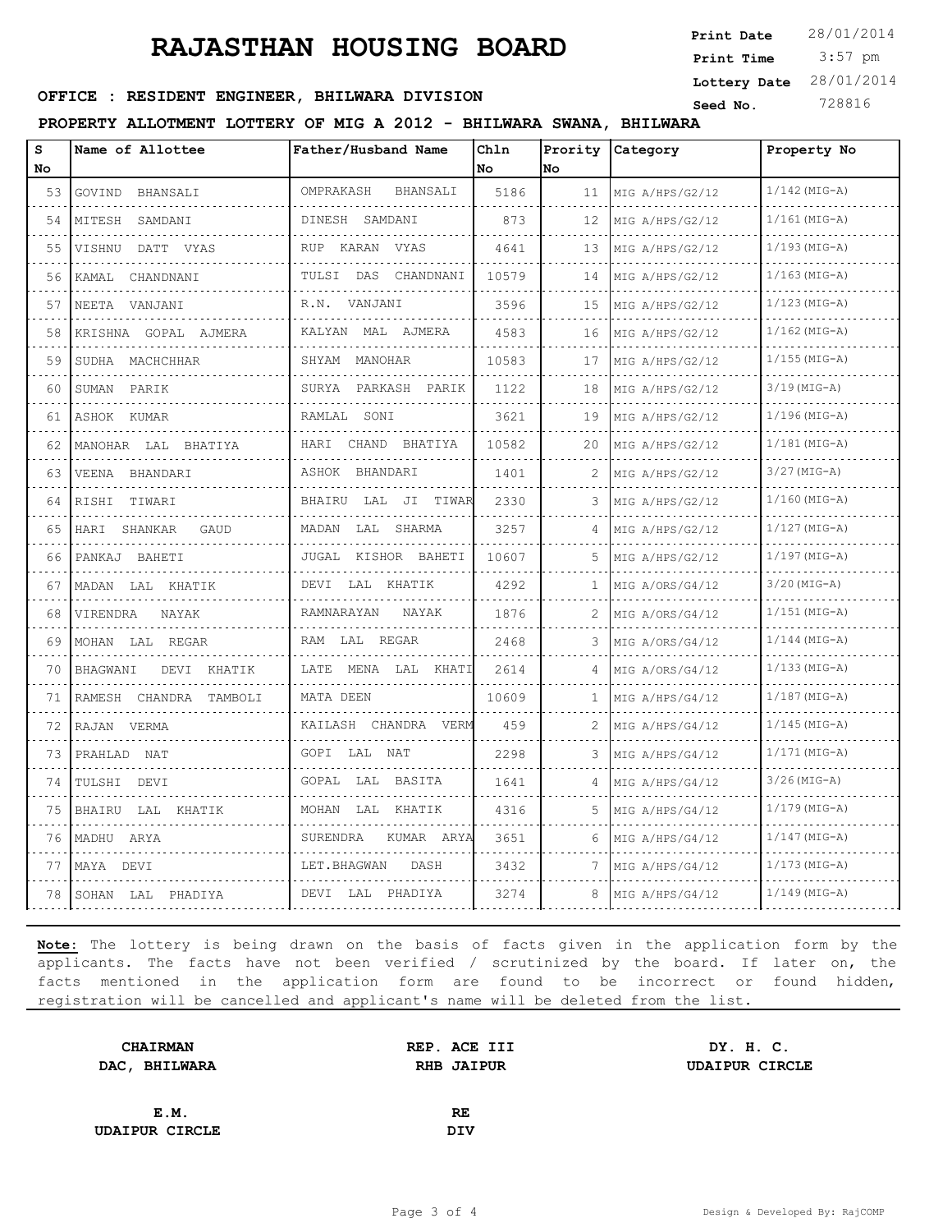# **RAJASTHAN HOUSING BOARD**

 3:57 pm **Print Date Print Time Lottery Date** 28/01/2014

### **SEED : RESIDENT ENGINEER, BHILWARA DIVISION** Seed No. 728816

#### **PROPERTY ALLOTMENT LOTTERY OF MIG A 2012 - BHILWARA SWANA, BHILWARA**

| S<br>No | Name of Allottee        | Father/Husband Name      | Chln<br>No | No | Prority Category     | Property No     |
|---------|-------------------------|--------------------------|------------|----|----------------------|-----------------|
| 53      | GOVIND BHANSALI         | OMPRAKASH<br>BHANSALI    | 5186       | 11 | MIG A/HPS/G2/12      | $1/142$ (MIG-A) |
| 54      | MITESH SAMDANI<br>.     | DINESH SAMDANI           | 873        | 12 | MIG A/HPS/G2/12<br>. | $1/161$ (MIG-A) |
| 55      | VISHNU DATT VYAS        | RUP KARAN VYAS           | 4641       | 13 | MIG A/HPS/G2/12      | $1/193$ (MIG-A) |
| 56      | KAMAL CHANDNANI         | TULSI DAS CHANDNANI<br>. | 10579      | 14 | MIG A/HPS/G2/12      | $1/163$ (MIG-A) |
| 57      | NEETA VANJANI<br>.      | R.N. VANJANI             | 3596       | 15 | MIG A/HPS/G2/12      | $1/123$ (MIG-A) |
| 58      | KRISHNA GOPAL AJMERA    | KALYAN MAL AJMERA        | 4583       | 16 | MIG A/HPS/G2/12      | $1/162$ (MIG-A) |
| 59      | SUDHA MACHCHHAR         | SHYAM MANOHAR            | 10583      | 17 | MIG A/HPS/G2/12      | $1/155$ (MIG-A) |
| 60      | SUMAN PARIK             | SURYA PARKASH PARIK      | 1122       | 18 | MIG A/HPS/G2/12      | $3/19$ (MIG-A)  |
| 61      | ASHOK KUMAR             | RAMLAL SONI              | 3621       | 19 | MIG A/HPS/G2/12      | $1/196$ (MIG-A) |
| 62      | MANOHAR LAL BHATIYA     | HARI CHAND BHATIYA       | 10582      | 20 | MIG A/HPS/G2/12      | $1/181$ (MIG-A) |
| 63      | VEENA BHANDARI          | ASHOK BHANDARI           | 1401       | 2  | MIG A/HPS/G2/12      | $3/27$ (MIG-A)  |
| 64      | RISHI TIWARI            | BHAIRU LAL JI TIWAR      | 2330       |    | MIG A/HPS/G2/12      | $1/160$ (MIG-A) |
| 65      | HARI SHANKAR<br>GAUD    | MADAN LAL SHARMA<br>.    | 3257       |    | MIG A/HPS/G2/12      | $1/127$ (MIG-A) |
| 66      | PANKAJ BAHETI           | JUGAL KISHOR BAHETI      | 10607      |    | MIG A/HPS/G2/12      | $1/197$ (MIG-A) |
| 67      | MADAN LAL KHATIK        | DEVI LAL KHATIK          | 4292       | 1  | MIG A/ORS/G4/12      | $3/20$ (MIG-A)  |
| 68      | VIRENDRA<br>NAYAK<br>.  | RAMNARAYAN<br>NAYAK      | 1876       | 2  | MIG A/ORS/G4/12      | $1/151$ (MIG-A) |
| 69      | MOHAN LAL REGAR         | RAM LAL REGAR            | 2468       |    | MIG A/ORS/G4/12      | $1/144$ (MIG-A) |
| 70      | BHAGWANI<br>DEVI KHATIK | LATE MENA LAL KHATI      | 2614       |    | MIG A/ORS/G4/12      | $1/133$ (MIG-A) |
| 71      | RAMESH CHANDRA TAMBOLI  | MATA DEEN                | 10609      | 1  | MIG A/HPS/G4/12      | $1/187$ (MIG-A) |
| 72      | RAJAN VERMA             | KAILASH CHANDRA VERM     | 459        |    | MIG A/HPS/G4/12      | $1/145$ (MIG-A) |
| 73      | PRAHLAD NAT             | GOPI LAL NAT             | 2298       | 3  | MIG A/HPS/G4/12      | $1/171$ (MIG-A) |
| 74      | TULSHI DEVI             | GOPAL LAL BASITA         | 1641       |    | MIG A/HPS/G4/12      | $3/26$ (MIG-A)  |
| 75      | BHAIRU LAL KHATIK       | MOHAN LAL KHATIK         | 4316       |    | MIG A/HPS/G4/12      | $1/179$ (MIG-A) |
| 76      | MADHU ARYA              | SURENDRA<br>KUMAR ARYA   | 3651       | 6  | MIG A/HPS/G4/12      | $1/147$ (MIG-A) |
| 77      | MAYA DEVI               | LET.BHAGWAN<br>DASH      | 3432       | 7  | MIG A/HPS/G4/12      | $1/173$ (MIG-A) |
| 78      | SOHAN LAL PHADIYA       | DEVI LAL PHADIYA         | 3274       | 8  | MIG A/HPS/G4/12      | $1/149$ (MIG-A) |

**Note:** The lottery is being drawn on the basis of facts given in the application form by the applicants. The facts have not been verified / scrutinized by the board. If later on, the facts mentioned in the application form are found to be incorrect or found hidden, registration will be cancelled and applicant's name will be deleted from the list.

| <b>CHAIRMAN</b>       | REP. ACE III      | DY. H. C.             |  |
|-----------------------|-------------------|-----------------------|--|
| DAC, BHILWARA         | <b>RHB JAIPUR</b> | <b>UDAIPUR CIRCLE</b> |  |
|                       |                   |                       |  |
| E.M.                  | <b>RE</b>         |                       |  |
| <b>UDAIPUR CIRCLE</b> | DIV               |                       |  |